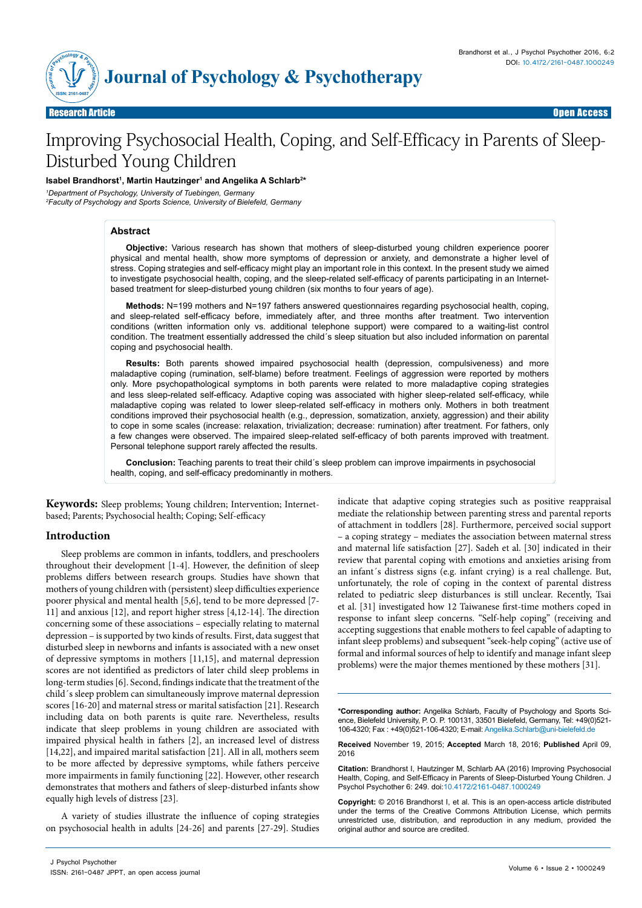

# Improving Psychosocial Health, Coping, and Self-Efficacy in Parents of Sleep-Disturbed Young Children

## Isabel Brandhorst<sup>ı</sup>, Martin Hautzinger<sup>ı</sup> and Angelika A Schlarb<sup>2</sup>\*

*1 Department of Psychology, University of Tuebingen, Germany*

*2 Faculty of Psychology and Sports Science, University of Bielefeld, Germany*

## **Abstract**

**Objective:** Various research has shown that mothers of sleep-disturbed young children experience poorer physical and mental health, show more symptoms of depression or anxiety, and demonstrate a higher level of stress. Coping strategies and self-efficacy might play an important role in this context. In the present study we aimed to investigate psychosocial health, coping, and the sleep-related self-efficacy of parents participating in an Internetbased treatment for sleep-disturbed young children (six months to four years of age).

**Methods:** N=199 mothers and N=197 fathers answered questionnaires regarding psychosocial health, coping, and sleep-related self-efficacy before, immediately after, and three months after treatment. Two intervention conditions (written information only vs. additional telephone support) were compared to a waiting-list control condition. The treatment essentially addressed the child´s sleep situation but also included information on parental coping and psychosocial health.

**Results:** Both parents showed impaired psychosocial health (depression, compulsiveness) and more maladaptive coping (rumination, self-blame) before treatment. Feelings of aggression were reported by mothers only. More psychopathological symptoms in both parents were related to more maladaptive coping strategies and less sleep-related self-efficacy. Adaptive coping was associated with higher sleep-related self-efficacy, while maladaptive coping was related to lower sleep-related self-efficacy in mothers only. Mothers in both treatment conditions improved their psychosocial health (e.g., depression, somatization, anxiety, aggression) and their ability to cope in some scales (increase: relaxation, trivialization; decrease: rumination) after treatment. For fathers, only a few changes were observed. The impaired sleep-related self-efficacy of both parents improved with treatment. Personal telephone support rarely affected the results.

**Conclusion:** Teaching parents to treat their child´s sleep problem can improve impairments in psychosocial health, coping, and self-efficacy predominantly in mothers.

**Keywords:** Sleep problems; Young children; Intervention; Internetbased; Parents; Psychosocial health; Coping; Self-efficacy

## **Introduction**

Sleep problems are common in infants, toddlers, and preschoolers throughout their development [1-4]. However, the definition of sleep problems differs between research groups. Studies have shown that mothers of young children with (persistent) sleep difficulties experience poorer physical and mental health [5,6], tend to be more depressed [7- 11] and anxious [12], and report higher stress [4,12-14]. The direction concerning some of these associations – especially relating to maternal depression – is supported by two kinds of results. First, data suggest that disturbed sleep in newborns and infants is associated with a new onset of depressive symptoms in mothers [11,15], and maternal depression scores are not identified as predictors of later child sleep problems in long-term studies [6]. Second, findings indicate that the treatment of the child´s sleep problem can simultaneously improve maternal depression scores [16-20] and maternal stress or marital satisfaction [21]. Research including data on both parents is quite rare. Nevertheless, results indicate that sleep problems in young children are associated with impaired physical health in fathers [2], an increased level of distress [14,22], and impaired marital satisfaction [21]. All in all, mothers seem to be more affected by depressive symptoms, while fathers perceive more impairments in family functioning [22]. However, other research demonstrates that mothers and fathers of sleep-disturbed infants show equally high levels of distress [23].

A variety of studies illustrate the influence of coping strategies on psychosocial health in adults [24-26] and parents [27-29]. Studies

indicate that adaptive coping strategies such as positive reappraisal mediate the relationship between parenting stress and parental reports of attachment in toddlers [28]. Furthermore, perceived social support – a coping strategy – mediates the association between maternal stress and maternal life satisfaction [27]. Sadeh et al. [30] indicated in their review that parental coping with emotions and anxieties arising from an infant´s distress signs (e.g. infant crying) is a real challenge. But, unfortunately, the role of coping in the context of parental distress related to pediatric sleep disturbances is still unclear. Recently, Tsai et al. [31] investigated how 12 Taiwanese first-time mothers coped in response to infant sleep concerns. "Self-help coping" (receiving and accepting suggestions that enable mothers to feel capable of adapting to infant sleep problems) and subsequent "seek-help coping" (active use of formal and informal sources of help to identify and manage infant sleep problems) were the major themes mentioned by these mothers [31].

**\*Corresponding author:** Angelika Schlarb, Faculty of Psychology and Sports Science, Bielefeld University, P. O. P. 100131, 33501 Bielefeld, Germany, Tel: +49(0)521- 106-4320; Fax : +49(0)521-106-4320; E-mail: Angelika.Schlarb@uni-bielefeld.de

**Received** November 19, 2015; **Accepted** March 18, 2016; **Published** April 09, 2016

**Citation:** Brandhorst I, Hautzinger M, Schlarb AA (2016) Improving Psychosocial Health, Coping, and Self-Efficacy in Parents of Sleep-Disturbed Young Children. J Psychol Psychother 6: 249. doi:10.4172/2161-0487.1000249

**Copyright:** © 2016 Brandhorst I, et al. This is an open-access article distributed under the terms of the Creative Commons Attribution License, which permits unrestricted use, distribution, and reproduction in any medium, provided the original author and source are credited.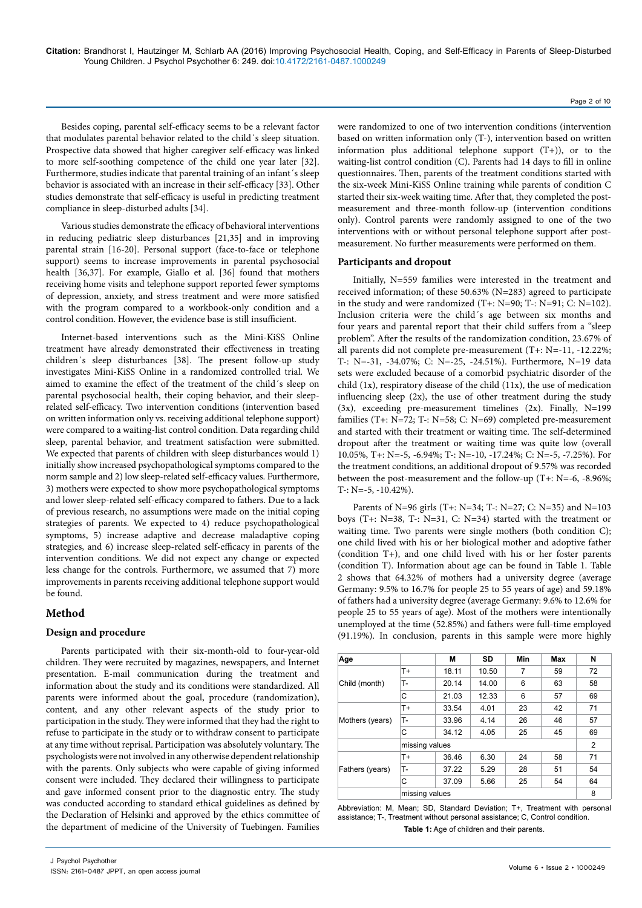Besides coping, parental self-efficacy seems to be a relevant factor that modulates parental behavior related to the child´s sleep situation. Prospective data showed that higher caregiver self-efficacy was linked to more self-soothing competence of the child one year later [32]. Furthermore, studies indicate that parental training of an infant's sleep behavior is associated with an increase in their self-efficacy [33]. Other studies demonstrate that self-efficacy is useful in predicting treatment compliance in sleep-disturbed adults [34].

Various studies demonstrate the efficacy of behavioral interventions in reducing pediatric sleep disturbances [21,35] and in improving parental strain [16-20]. Personal support (face-to-face or telephone support) seems to increase improvements in parental psychosocial health [36,37]. For example, Giallo et al. [36] found that mothers receiving home visits and telephone support reported fewer symptoms of depression, anxiety, and stress treatment and were more satisfied with the program compared to a workbook-only condition and a control condition. However, the evidence base is still insufficient.

Internet-based interventions such as the Mini-KiSS Online treatment have already demonstrated their effectiveness in treating children´s sleep disturbances [38]. The present follow-up study investigates Mini-KiSS Online in a randomized controlled trial. We aimed to examine the effect of the treatment of the child´s sleep on parental psychosocial health, their coping behavior, and their sleeprelated self-efficacy. Two intervention conditions (intervention based on written information only vs. receiving additional telephone support) were compared to a waiting-list control condition. Data regarding child sleep, parental behavior, and treatment satisfaction were submitted. We expected that parents of children with sleep disturbances would 1) initially show increased psychopathological symptoms compared to the norm sample and 2) low sleep-related self-efficacy values. Furthermore, 3) mothers were expected to show more psychopathological symptoms and lower sleep-related self-efficacy compared to fathers. Due to a lack of previous research, no assumptions were made on the initial coping strategies of parents. We expected to 4) reduce psychopathological symptoms, 5) increase adaptive and decrease maladaptive coping strategies, and 6) increase sleep-related self-efficacy in parents of the intervention conditions. We did not expect any change or expected less change for the controls. Furthermore, we assumed that 7) more improvements in parents receiving additional telephone support would be found.

# **Method**

# **Design and procedure**

Parents participated with their six-month-old to four-year-old children. They were recruited by magazines, newspapers, and Internet presentation. E-mail communication during the treatment and information about the study and its conditions were standardized. All parents were informed about the goal, procedure (randomization), content, and any other relevant aspects of the study prior to participation in the study. They were informed that they had the right to refuse to participate in the study or to withdraw consent to participate at any time without reprisal. Participation was absolutely voluntary. The psychologists were not involved in any otherwise dependent relationship with the parents. Only subjects who were capable of giving informed consent were included. They declared their willingness to participate and gave informed consent prior to the diagnostic entry. The study was conducted according to standard ethical guidelines as defined by the Declaration of Helsinki and approved by the ethics committee of the department of medicine of the University of Tuebingen. Families

were randomized to one of two intervention conditions (intervention based on written information only (T-), intervention based on written information plus additional telephone support (T+)), or to the waiting-list control condition (C). Parents had 14 days to fill in online questionnaires. Then, parents of the treatment conditions started with the six-week Mini-KiSS Online training while parents of condition C started their six-week waiting time. After that, they completed the postmeasurement and three-month follow-up (intervention conditions only). Control parents were randomly assigned to one of the two interventions with or without personal telephone support after postmeasurement. No further measurements were performed on them.

#### **Participants and dropout**

Initially, N=559 families were interested in the treatment and received information; of these 50.63% (N=283) agreed to participate in the study and were randomized (T+: N=90; T-: N=91; C: N=102). Inclusion criteria were the child´s age between six months and four years and parental report that their child suffers from a "sleep problem". After the results of the randomization condition, 23.67% of all parents did not complete pre-measurement (T+: N=-11, -12.22%; T-: N=-31, -34.07%; C: N=-25, -24.51%). Furthermore, N=19 data sets were excluded because of a comorbid psychiatric disorder of the child (1x), respiratory disease of the child (11x), the use of medication influencing sleep (2x), the use of other treatment during the study  $(3x)$ , exceeding pre-measurement timelines  $(2x)$ . Finally, N=199 families (T+: N=72; T-: N=58; C: N=69) completed pre-measurement and started with their treatment or waiting time. The self-determined dropout after the treatment or waiting time was quite low (overall 10.05%, T+: N=-5, -6.94%; T-: N=-10, -17.24%; C: N=-5, -7.25%). For the treatment conditions, an additional dropout of 9.57% was recorded between the post-measurement and the follow-up (T+: N=-6, -8.96%; T-: N=-5, -10.42%).

Parents of N=96 girls (T+: N=34; T-: N=27; C: N=35) and N=103 boys (T+: N=38, T-: N=31, C: N=34) started with the treatment or waiting time. Two parents were single mothers (both condition C); one child lived with his or her biological mother and adoptive father (condition T+), and one child lived with his or her foster parents (condition T). Information about age can be found in Table 1. Table 2 shows that 64.32% of mothers had a university degree (average Germany: 9.5% to 16.7% for people 25 to 55 years of age) and 59.18% of fathers had a university degree (average Germany: 9.6% to 12.6% for people 25 to 55 years of age). Most of the mothers were intentionally unemployed at the time (52.85%) and fathers were full-time employed (91.19%). In conclusion, parents in this sample were more highly

| Age             |                | М     | <b>SD</b> | Min | Max | N              |
|-----------------|----------------|-------|-----------|-----|-----|----------------|
|                 | $T+$           | 18.11 | 10.50     | 7   | 59  | 72             |
| Child (month)   | т.             | 20.14 | 14.00     | 6   | 63  | 58             |
|                 | С              | 21.03 | 12.33     | 6   | 57  | 69             |
|                 | $T+$           | 33.54 | 4.01      | 23  | 42  | 71             |
| Mothers (years) | т.             | 33.96 | 4.14      | 26  | 46  | 57             |
|                 | С              | 34.12 | 4.05      | 25  | 45  | 69             |
|                 | missing values |       |           |     |     | $\overline{2}$ |
|                 | $T+$           | 36.46 | 6.30      | 24  | 58  | 71             |
| Fathers (years) | т.             | 37.22 | 5.29      | 28  | 51  | 54             |
|                 | C              | 37.09 | 5.66      | 25  | 54  | 64             |
| missing values  |                |       |           | 8   |     |                |

Abbreviation: M, Mean; SD, Standard Deviation; T+, Treatment with personal assistance; T-, Treatment without personal assistance; C, Control condition. **Table 1:** Age of children and their parents.

Page 2 of 10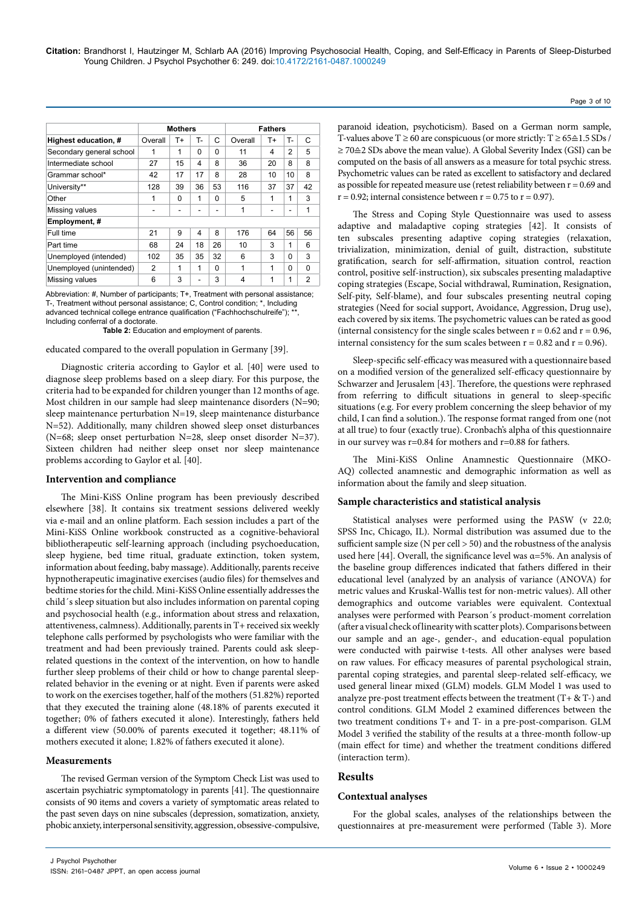|                          | <b>Mothers</b> |    |          | <b>Fathers</b> |         |    |          |                |
|--------------------------|----------------|----|----------|----------------|---------|----|----------|----------------|
| Highest education, #     | Overall        | T+ | т.       | C              | Overall | T+ | T-       | $\mathsf{C}$   |
| Secondary general school | 1              | 1  | $\Omega$ | $\Omega$       | 11      | 4  | 2        | 5              |
| Intermediate school      | 27             | 15 | 4        | 8              | 36      | 20 | 8        | 8              |
| Grammar school*          | 42             | 17 | 17       | 8              | 28      | 10 | 10       | 8              |
| University**             | 128            | 39 | 36       | 53             | 116     | 37 | 37       | 42             |
| Other                    | 1              | 0  | 1        | $\Omega$       | 5       | 1  | 1        | 3              |
| Missing values           |                | ۰  |          |                | 1       |    | ۰        | 1              |
| Employment, #            |                |    |          |                |         |    |          |                |
| Full time                | 21             | 9  | 4        | 8              | 176     | 64 | 56       | 56             |
| Part time                | 68             | 24 | 18       | 26             | 10      | 3  | 1        | 6              |
| Unemployed (intended)    | 102            | 35 | 35       | 32             | 6       | 3  | $\Omega$ | 3              |
| Unemployed (unintended)  | 2              | 1  | 1        | $\Omega$       | 1       | 1  | $\Omega$ | 0              |
| Missing values           | 6              | 3  |          | 3              | 4       | 1  | 1        | $\overline{2}$ |

Abbreviation: #, Number of participants; T+, Treatment with personal assistance; T-, Treatment without personal assistance; C, Control condition; \*, Including advanced technical college entrance qualification ("Fachhochschulreife"); \* Including conferral of a doctorate.

**Table 2:** Education and employment of parents.

educated compared to the overall population in Germany [39].

Diagnostic criteria according to Gaylor et al. [40] were used to diagnose sleep problems based on a sleep diary. For this purpose, the criteria had to be expanded for children younger than 12 months of age. Most children in our sample had sleep maintenance disorders (N=90; sleep maintenance perturbation N=19, sleep maintenance disturbance N=52). Additionally, many children showed sleep onset disturbances (N=68; sleep onset perturbation N=28, sleep onset disorder N=37). Sixteen children had neither sleep onset nor sleep maintenance problems according to Gaylor et al. [40].

#### **Intervention and compliance**

The Mini-KiSS Online program has been previously described elsewhere [38]. It contains six treatment sessions delivered weekly via e-mail and an online platform. Each session includes a part of the Mini-KiSS Online workbook constructed as a cognitive-behavioral bibliotherapeutic self-learning approach (including psychoeducation, sleep hygiene, bed time ritual, graduate extinction, token system, information about feeding, baby massage). Additionally, parents receive hypnotherapeutic imaginative exercises (audio files) for themselves and bedtime stories for the child. Mini-KiSS Online essentially addresses the child´s sleep situation but also includes information on parental coping and psychosocial health (e.g., information about stress and relaxation, attentiveness, calmness). Additionally, parents in T+ received six weekly telephone calls performed by psychologists who were familiar with the treatment and had been previously trained. Parents could ask sleeprelated questions in the context of the intervention, on how to handle further sleep problems of their child or how to change parental sleeprelated behavior in the evening or at night. Even if parents were asked to work on the exercises together, half of the mothers (51.82%) reported that they executed the training alone (48.18% of parents executed it together; 0% of fathers executed it alone). Interestingly, fathers held a different view (50.00% of parents executed it together; 48.11% of mothers executed it alone; 1.82% of fathers executed it alone).

## **Measurements**

The revised German version of the Symptom Check List was used to ascertain psychiatric symptomatology in parents [41]. The questionnaire consists of 90 items and covers a variety of symptomatic areas related to the past seven days on nine subscales (depression, somatization, anxiety, phobic anxiety, interpersonal sensitivity, aggression, obsessive-compulsive,

T-values above T  $\geq$  60 are conspicuous (or more strictly: T  $\geq$  65 $\cong$  1.5 SDs / ≥ 70≙2 SDs above the mean value). A Global Severity Index (GSI) can be computed on the basis of all answers as a measure for total psychic stress. Psychometric values can be rated as excellent to satisfactory and declared as possible for repeated measure use (retest reliability between  $r = 0.69$  and  $r = 0.92$ ; internal consistence between  $r = 0.75$  to  $r = 0.97$ ).

paranoid ideation, psychoticism). Based on a German norm sample,

The Stress and Coping Style Questionnaire was used to assess adaptive and maladaptive coping strategies [42]. It consists of ten subscales presenting adaptive coping strategies (relaxation, trivialization, minimization, denial of guilt, distraction, substitute gratification, search for self-affirmation, situation control, reaction control, positive self-instruction), six subscales presenting maladaptive coping strategies (Escape, Social withdrawal, Rumination, Resignation, Self-pity, Self-blame), and four subscales presenting neutral coping strategies (Need for social support, Avoidance, Aggression, Drug use), each covered by six items. The psychometric values can be rated as good (internal consistency for the single scales between  $r = 0.62$  and  $r = 0.96$ , internal consistency for the sum scales between  $r = 0.82$  and  $r = 0.96$ ).

Sleep-specific self-efficacy was measured with a questionnaire based on a modified version of the generalized self-efficacy questionnaire by Schwarzer and Jerusalem [43]. Therefore, the questions were rephrased from referring to difficult situations in general to sleep-specific situations (e.g. For every problem concerning the sleep behavior of my child, I can find a solution.). The response format ranged from one (not at all true) to four (exactly true). Cronbach's alpha of this questionnaire in our survey was r=0.84 for mothers and r=0.88 for fathers.

The Mini-KiSS Online Anamnestic Questionnaire (MKO-AQ) collected anamnestic and demographic information as well as information about the family and sleep situation.

## **Sample characteristics and statistical analysis**

Statistical analyses were performed using the PASW (v 22.0; SPSS Inc, Chicago, IL). Normal distribution was assumed due to the sufficient sample size (N per cell > 50) and the robustness of the analysis used here [44]. Overall, the significance level was  $\alpha$ =5%. An analysis of the baseline group differences indicated that fathers differed in their educational level (analyzed by an analysis of variance (ANOVA) for metric values and Kruskal-Wallis test for non-metric values). All other demographics and outcome variables were equivalent. Contextual analyses were performed with Pearson´s product-moment correlation (after a visual check of linearity with scatter plots). Comparisons between our sample and an age-, gender-, and education-equal population were conducted with pairwise t-tests. All other analyses were based on raw values. For efficacy measures of parental psychological strain, parental coping strategies, and parental sleep-related self-efficacy, we used general linear mixed (GLM) models. GLM Model 1 was used to analyze pre-post treatment effects between the treatment  $(T + \& T)$  and control conditions. GLM Model 2 examined differences between the two treatment conditions T+ and T- in a pre-post-comparison. GLM Model 3 verified the stability of the results at a three-month follow-up (main effect for time) and whether the treatment conditions differed (interaction term).

## **Results**

## **Contextual analyses**

For the global scales, analyses of the relationships between the questionnaires at pre-measurement were performed (Table 3). More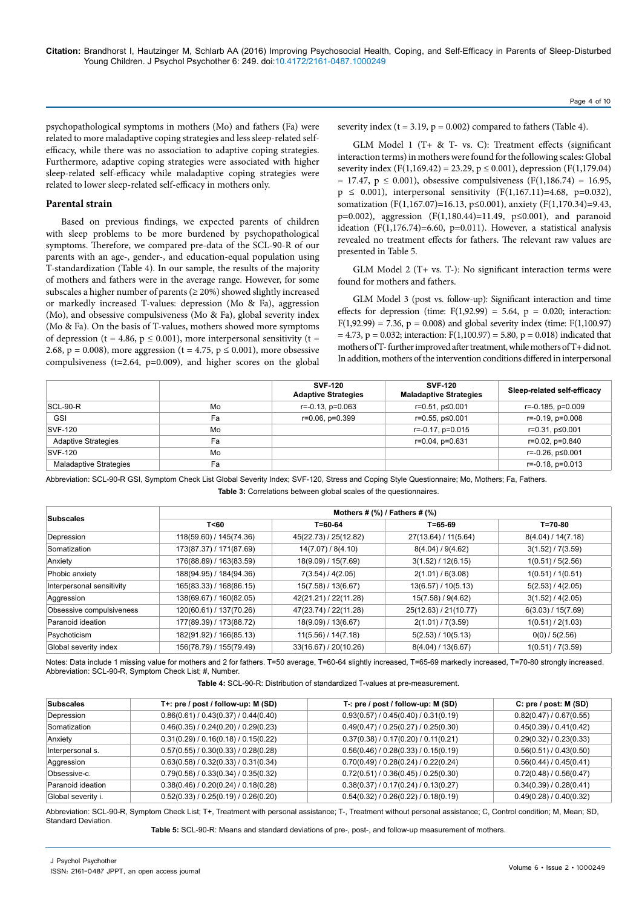psychopathological symptoms in mothers (Mo) and fathers (Fa) were related to more maladaptive coping strategies and less sleep-related selfefficacy, while there was no association to adaptive coping strategies. Furthermore, adaptive coping strategies were associated with higher sleep-related self-efficacy while maladaptive coping strategies were related to lower sleep-related self-efficacy in mothers only.

#### **Parental strain**

Based on previous findings, we expected parents of children with sleep problems to be more burdened by psychopathological symptoms. Therefore, we compared pre-data of the SCL-90-R of our parents with an age-, gender-, and education-equal population using T-standardization (Table 4). In our sample, the results of the majority of mothers and fathers were in the average range. However, for some subscales a higher number of parents ( $\geq$  20%) showed slightly increased or markedly increased T-values: depression (Mo & Fa), aggression (Mo), and obsessive compulsiveness (Mo & Fa), global severity index (Mo & Fa). On the basis of T-values, mothers showed more symptoms of depression (t = 4.86,  $p \le 0.001$ ), more interpersonal sensitivity (t = 2.68,  $p = 0.008$ ), more aggression (t = 4.75,  $p \le 0.001$ ), more obsessive compulsiveness ( $t=2.64$ ,  $p=0.009$ ), and higher scores on the global severity index ( $t = 3.19$ ,  $p = 0.002$ ) compared to fathers (Table 4).

GLM Model 1 (T+ & T- vs. C): Treatment effects (significant interaction terms) in mothers were found for the following scales: Global severity index (F(1,169.42) = 23.29,  $p \le 0.001$ ), depression (F(1,179.04)  $= 17.47$ ,  $p \le 0.001$ ), obsessive compulsiveness (F(1,186.74) = 16.95,  $p \le 0.001$ ), interpersonal sensitivity (F(1,167.11)=4.68, p=0.032), somatization (F(1,167.07)=16.13, p≤0.001), anxiety (F(1,170.34)=9.43, p=0.002), aggression (F(1,180.44)=11.49, p≤0.001), and paranoid ideation (F(1,176.74)=6.60, p=0.011). However, a statistical analysis revealed no treatment effects for fathers. The relevant raw values are presented in Table 5.

GLM Model 2 (T+ vs. T-): No significant interaction terms were found for mothers and fathers.

GLM Model 3 (post vs. follow-up): Significant interaction and time effects for depression (time:  $F(1,92.99) = 5.64$ ,  $p = 0.020$ ; interaction:  $F(1,92.99) = 7.36$ ,  $p = 0.008$ ) and global severity index (time:  $F(1,100.97)$ )  $= 4.73$ ,  $p = 0.032$ ; interaction: F(1,100.97) = 5.80, p = 0.018) indicated that mothers of T- further improved after treatment, while mothers of T+ did not. In addition, mothers of the intervention conditions differed in interpersonal

|                            |    | <b>SVF-120</b><br><b>Adaptive Strategies</b> | <b>SVF-120</b><br><b>Maladaptive Strategies</b> | Sleep-related self-efficacy |
|----------------------------|----|----------------------------------------------|-------------------------------------------------|-----------------------------|
| $SCL-90-R$                 | Mo | $r=-0.13$ , $p=0.063$                        | r=0.51, p≤0.001                                 | r=-0.185, p=0.009           |
| <b>GSI</b>                 | Fa | $r=0.06, p=0.399$                            | r=0.55, p≤0.001                                 | $r = -0.19$ , $p = 0.008$   |
| <b>SVF-120</b>             | Mo |                                              | $r = -0.17$ , $p = 0.015$                       | r=0.31, p≤0.001             |
| <b>Adaptive Strategies</b> | Fa |                                              | r=0.04, p=0.631                                 | r=0.02, p=0.840             |
| <b>SVF-120</b>             | Mo |                                              |                                                 | r=-0.26, p≤0.001            |
| Maladaptive Strategies     | Fa |                                              |                                                 | $r = -0.18$ , $p = 0.013$   |

Abbreviation: SCL-90-R GSI, Symptom Check List Global Severity Index; SVF-120, Stress and Coping Style Questionnaire; Mo, Mothers; Fa, Fathers. **Table 3:** Correlations between global scales of the questionnaires.

|                           | Mothers # $(\%)$ / Fathers # $(\%)$ |                       |                       |                    |  |  |
|---------------------------|-------------------------------------|-----------------------|-----------------------|--------------------|--|--|
| <b>Subscales</b>          | T < 60                              | $T = 60 - 64$         | $T = 65 - 69$         | T=70-80            |  |  |
| Depression                | 118(59.60) / 145(74.36)             | 45(22.73) / 25(12.82) | 27(13.64) / 11(5.64)  | 8(4.04) / 14(7.18) |  |  |
| Somatization              | 173(87.37) / 171(87.69)             | 14(7.07) / 8(4.10)    | 8(4.04) / 9(4.62)     | 3(1.52) / 7(3.59)  |  |  |
| Anxiety                   | 176(88.89) / 163(83.59)             | 18(9.09) / 15(7.69)   | 3(1.52) / 12(6.15)    | 1(0.51)/5(2.56)    |  |  |
| Phobic anxiety            | 188(94.95) / 184(94.36)             | 7(3.54) / 4(2.05)     | 2(1.01)/6(3.08)       | 1(0.51) / 1(0.51)  |  |  |
| Interpersonal sensitivity | 165(83.33) / 168(86.15)             | 15(7.58) / 13(6.67)   | 13(6.57) / 10(5.13)   | 5(2.53) / 4(2.05)  |  |  |
| Aggression                | 138(69.67) / 160(82.05)             | 42(21.21) / 22(11.28) | 15(7.58) / 9(4.62)    | 3(1.52) / 4(2.05)  |  |  |
| Obsessive compulsiveness  | 120(60.61) / 137(70.26)             | 47(23.74) / 22(11.28) | 25(12.63) / 21(10.77) | 6(3.03) / 15(7.69) |  |  |
| Paranoid ideation         | 177(89.39) / 173(88.72)             | 18(9.09) / 13(6.67)   | 2(1.01) / 7(3.59)     | 1(0.51)/2(1.03)    |  |  |
| Psychoticism              | 182(91.92) / 166(85.13)             | 11(5.56) / 14(7.18)   | 5(2.53) / 10(5.13)    | $0(0)$ / 5(2.56)   |  |  |
| Global severity index     | 156(78.79) / 155(79.49)             | 33(16.67) / 20(10.26) | 8(4.04) / 13(6.67)    | 1(0.51) / 7(3.59)  |  |  |

Notes: Data include 1 missing value for mothers and 2 for fathers. T=50 average, T=60-64 slightly increased, T=65-69 markedly increased, T=70-80 strongly increased. Abbreviation: SCL-90-R, Symptom Check List; #, Number.

**Table 4:** SCL-90-R: Distribution of standardized T-values at pre-measurement.

| <b>Subscales</b>   | T+: pre / post / follow-up: M (SD)   | T-: pre / post / follow-up: M (SD)   | C: pre / post: M (SD)   |
|--------------------|--------------------------------------|--------------------------------------|-------------------------|
| Depression         | 0.86(0.61) / 0.43(0.37) / 0.44(0.40) | 0.93(0.57) / 0.45(0.40) / 0.31(0.19) | 0.82(0.47) / 0.67(0.55) |
| Somatization       | 0.46(0.35) / 0.24(0.20) / 0.29(0.23) | 0.49(0.47) / 0.25(0.27) / 0.25(0.30) | 0.45(0.39) / 0.41(0.42) |
| Anxiety            | 0.31(0.29) / 0.16(0.18) / 0.15(0.22) | 0.37(0.38) / 0.17(0.20) / 0.11(0.21) | 0.29(0.32) / 0.23(0.33) |
| Interpersonal s.   | 0.57(0.55) / 0.30(0.33) / 0.28(0.28) | 0.56(0.46) / 0.28(0.33) / 0.15(0.19) | 0.56(0.51)/0.43(0.50)   |
| Aggression         | 0.63(0.58) / 0.32(0.33) / 0.31(0.34) | 0.70(0.49) / 0.28(0.24) / 0.22(0.24) | 0.56(0.44) / 0.45(0.41) |
| Obsessive-c.       | 0.79(0.56) / 0.33(0.34) / 0.35(0.32) | 0.72(0.51) / 0.36(0.45) / 0.25(0.30) | 0.72(0.48)/0.56(0.47)   |
| Paranoid ideation  | 0.38(0.46) / 0.20(0.24) / 0.18(0.28) | 0.38(0.37) / 0.17(0.24) / 0.13(0.27) | 0.34(0.39) / 0.28(0.41) |
| Global severity i. | 0.52(0.33) / 0.25(0.19) / 0.26(0.20) | 0.54(0.32) / 0.26(0.22) / 0.18(0.19) | 0.49(0.28) / 0.40(0.32) |

Abbreviation: SCL-90-R, Symptom Check List; T+, Treatment with personal assistance; T-, Treatment without personal assistance; C, Control condition; M, Mean; SD, Standard Deviation.

**Table 5:** SCL-90-R: Means and standard deviations of pre-, post-, and follow-up measurement of mothers.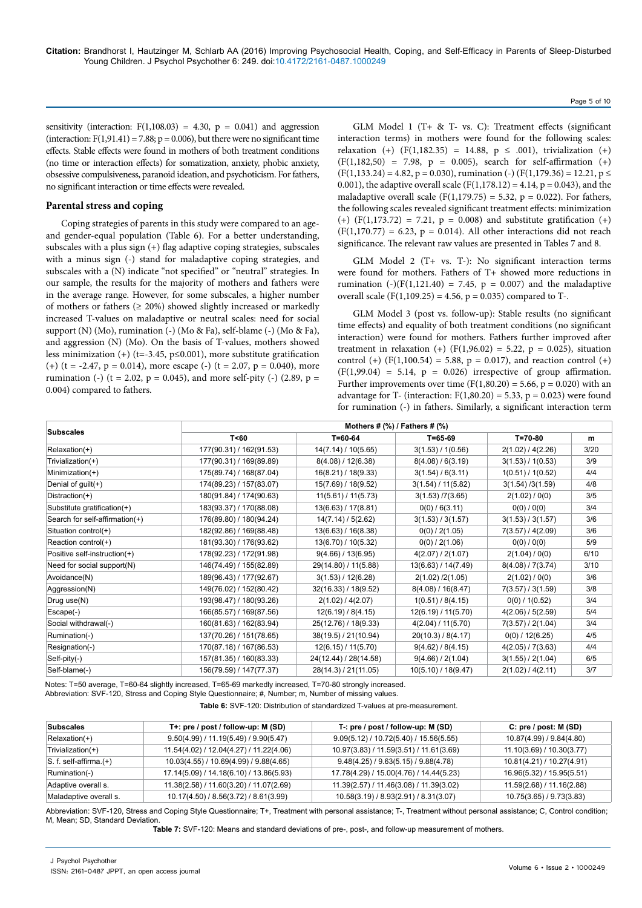sensitivity (interaction:  $F(1,108.03) = 4.30$ ,  $p = 0.041$ ) and aggression (interaction:  $F(1,91.41) = 7.88$ ;  $p = 0.006$ ), but there were no significant time effects. Stable effects were found in mothers of both treatment conditions (no time or interaction effects) for somatization, anxiety, phobic anxiety, obsessive compulsiveness, paranoid ideation, and psychoticism. For fathers, no significant interaction or time effects were revealed.

#### **Parental stress and coping**

Coping strategies of parents in this study were compared to an ageand gender-equal population (Table 6). For a better understanding, subscales with a plus sign (+) flag adaptive coping strategies, subscales with a minus sign (-) stand for maladaptive coping strategies, and subscales with a (N) indicate "not specified" or "neutral" strategies. In our sample, the results for the majority of mothers and fathers were in the average range. However, for some subscales, a higher number of mothers or fathers  $(≥ 20%)$  showed slightly increased or markedly increased T-values on maladaptive or neutral scales: need for social support (N) (Mo), rumination (-) (Mo & Fa), self-blame (-) (Mo & Fa), and aggression (N) (Mo). On the basis of T-values, mothers showed less minimization  $(+)$  (t=-3.45, p≤0.001), more substitute gratification (+) (t = -2.47, p = 0.014), more escape (-) (t = 2.07, p = 0.040), more rumination (-) (t = 2.02, p = 0.045), and more self-pity (-) (2.89, p = 0.004) compared to fathers.

GLM Model 1 (T+ & T- vs. C): Treatment effects (significant interaction terms) in mothers were found for the following scales: relaxation (+) (F(1,182.35) = 14.88,  $p \le .001$ ), trivialization (+)  $(F(1,182,50) = 7.98, p = 0.005)$ , search for self-affirmation  $(+)$  $(F(1,133.24) = 4.82, p = 0.030)$ , rumination (-)  $(F(1,179.36) = 12.21, p \le$ 0.001), the adaptive overall scale ( $F(1,178.12) = 4.14$ ,  $p = 0.043$ ), and the maladaptive overall scale (F(1,179.75) = 5.32,  $p = 0.022$ ). For fathers, the following scales revealed significant treatment effects: minimization  $(+)$  (F(1,173.72) = 7.21, p = 0.008) and substitute gratification (+)  $(F(1,170.77) = 6.23, p = 0.014)$ . All other interactions did not reach significance. The relevant raw values are presented in Tables 7 and 8.

Page 5 of 10

GLM Model 2 (T+ vs. T-): No significant interaction terms were found for mothers. Fathers of T+ showed more reductions in rumination (-)(F(1,121.40) = 7.45,  $p = 0.007$ ) and the maladaptive overall scale (F(1,109.25) = 4.56,  $p = 0.035$ ) compared to T-.

GLM Model 3 (post vs. follow-up): Stable results (no significant time effects) and equality of both treatment conditions (no significant interaction) were found for mothers. Fathers further improved after treatment in relaxation (+) (F(1,96.02) = 5.22, p = 0.025), situation control (+) ( $F(1,100.54) = 5.88$ ,  $p = 0.017$ ), and reaction control (+)  $(F(1,99.04) = 5.14, p = 0.026)$  irrespective of group affirmation. Further improvements over time  $(F(1, 80.20) = 5.66, p = 0.020)$  with an advantage for T- (interaction:  $F(1,80.20) = 5.33$ ,  $p = 0.023$ ) were found for rumination (-) in fathers. Similarly, a significant interaction term

|                                |                         | Mothers # $(\%)$ / Fathers # $(\%)$ |                     |                   |      |  |  |
|--------------------------------|-------------------------|-------------------------------------|---------------------|-------------------|------|--|--|
| <b>Subscales</b>               | T < 60                  | $T = 60 - 64$                       | $T = 65 - 69$       | T=70-80           | m    |  |  |
| Relaxation(+)                  | 177(90.31) / 162(91.53) | 14(7.14) / 10(5.65)                 | 3(1.53) / 1(0.56)   | 2(1.02) / 4(2.26) | 3/20 |  |  |
| Trivialization(+)              | 177(90.31) / 169(89.89) | 8(4.08) / 12(6.38)                  | 8(4.08) / 6(3.19)   | 3(1.53) / 1(0.53) | 3/9  |  |  |
| Minimization(+)                | 175(89.74) / 168(87.04) | 16(8.21) / 18(9.33)                 | 3(1.54) / 6(3.11)   | 1(0.51) / 1(0.52) | 4/4  |  |  |
| Denial of guilt(+)             | 174(89.23) / 157(83.07) | 15(7.69) / 18(9.52)                 | 3(1.54) / 11(5.82)  | 3(1.54)/3(1.59)   | 4/8  |  |  |
| Distraction(+)                 | 180(91.84) / 174(90.63) | 11(5.61) / 11(5.73)                 | 3(1.53) / 7(3.65)   | 2(1.02) / 0(0)    | 3/5  |  |  |
| Substitute gratification(+)    | 183(93.37) / 170(88.08) | 13(6.63) / 17(8.81)                 | $0(0)$ / 6(3.11)    | 0(0)/0(0)         | 3/4  |  |  |
| Search for self-affirmation(+) | 176(89.80) / 180(94.24) | 14(7.14) / 5(2.62)                  | 3(1.53) / 3(1.57)   | 3(1.53) / 3(1.57) | 3/6  |  |  |
| Situation control(+)           | 182(92.86) / 169(88.48) | 13(6.63) / 16(8.38)                 | $0(0)$ / 2(1.05)    | 7(3.57) / 4(2.09) | 3/6  |  |  |
| Reaction control(+)            | 181(93.30) / 176(93.62) | 13(6.70) / 10(5.32)                 | 0(0) / 2(1.06)      | 0(0) / 0(0)       | 5/9  |  |  |
| Positive self-instruction(+)   | 178(92.23) / 172(91.98) | 9(4.66) / 13(6.95)                  | 4(2.07) / 2(1.07)   | 2(1.04) / 0(0)    | 6/10 |  |  |
| Need for social support(N)     | 146(74.49) / 155(82.89) | 29(14.80) / 11(5.88)                | 13(6.63) / 14(7.49) | 8(4.08) / 7(3.74) | 3/10 |  |  |
| Avoidance(N)                   | 189(96.43) / 177(92.67) | 3(1.53) / 12(6.28)                  | 2(1.02)/2(1.05)     | 2(1.02) / 0(0)    | 3/6  |  |  |
| Aggression(N)                  | 149(76.02) / 152(80.42) | 32(16.33) / 18(9.52)                | 8(4.08) / 16(8.47)  | 7(3.57)/3(1.59)   | 3/8  |  |  |
| Drug use(N)                    | 193(98.47) / 180(93.26) | 2(1.02) / 4(2.07)                   | 1(0.51) / 8(4.15)   | $0(0)$ / 1(0.52)  | 3/4  |  |  |
| Escape(-)                      | 166(85.57) / 169(87.56) | 12(6.19) / 8(4.15)                  | 12(6.19) / 11(5.70) | 4(2.06) / 5(2.59) | 5/4  |  |  |
| Social withdrawal(-)           | 160(81.63) / 162(83.94) | 25(12.76) / 18(9.33)                | 4(2.04) / 11(5.70)  | 7(3.57)/2(1.04)   | 3/4  |  |  |
| Rumination(-)                  | 137(70.26) / 151(78.65) | 38(19.5) / 21(10.94)                | 20(10.3) / 8(4.17)  | $0(0)$ / 12(6.25) | 4/5  |  |  |
| Resignation(-)                 | 170(87.18) / 167(86.53) | 12(6.15) / 11(5.70)                 | 9(4.62) / 8(4.15)   | 4(2.05) / 7(3.63) | 4/4  |  |  |
| Self-pity(-)                   | 157(81.35) / 160(83.33) | 24(12.44) / 28(14.58)               | 9(4.66) / 2(1.04)   | 3(1.55) / 2(1.04) | 6/5  |  |  |
| Self-blame(-)                  | 156(79.59) / 147(77.37) | 28(14.3) / 21(11.05)                | 10(5.10) / 18(9.47) | 2(1.02) / 4(2.11) | 3/7  |  |  |

Notes: T=50 average, T=60-64 slightly increased, T=65-69 markedly increased, T=70-80 strongly increased.

Abbreviation: SVF-120, Stress and Coping Style Questionnaire; #, Number; m, Number of missing values.

**Table 6:** SVF-120: Distribution of standardized T-values at pre-measurement.

| <b>Subscales</b>                  | T+: pre / post / follow-up: M (SD)            | T-: pre / post / follow-up: M (SD)       | C: pre / post: M (SD)     |
|-----------------------------------|-----------------------------------------------|------------------------------------------|---------------------------|
| $Relaxation(+)$                   | 9.50(4.99) / 11.19(5.49) / 9.90(5.47)         | $9.09(5.12) / 10.72(5.40) / 15.56(5.55)$ | 10.87(4.99) / 9.84(4.80)  |
| Trivialization(+)                 | $11.54(4.02)$ / $12.04(4.27)$ / $11.22(4.06)$ | 10.97(3.83) / 11.59(3.51) / 11.61(3.69)  | 11.10(3.69) / 10.30(3.77) |
| $\vert S. f.$ self-affirma. $(+)$ | 10.03(4.55) / 10.69(4.99) / 9.88(4.65)        | 9.48(4.25) / 9.63(5.15) / 9.88(4.78)     | 10.81(4.21) / 10.27(4.91) |
| Rumination(-)                     | 17.14(5.09) / 14.18(6.10) / 13.86(5.93)       | 17.78(4.29) / 15.00(4.76) / 14.44(5.23)  | 16.96(5.32) / 15.95(5.51) |
| Adaptive overall s.               | 11.38(2.58) / 11.60(3.20) / 11.07(2.69)       | 11.39(2.57) / 11.46(3.08) / 11.39(3.02)  | 11.59(2.68) / 11.16(2.88) |
| Maladaptive overall s.            | 10.17(4.50) / 8.56(3.72) / 8.61(3.99)         | 10.58(3.19) / 8.93(2.91) / 8.31(3.07)    | 10.75(3.65) / 9.73(3.83)  |

Abbreviation: SVF-120, Stress and Coping Style Questionnaire; T+, Treatment with personal assistance; T-, Treatment without personal assistance; C, Control condition; M, Mean; SD, Standard Deviation.

**Table 7:** SVF-120: Means and standard deviations of pre-, post-, and follow-up measurement of mothers.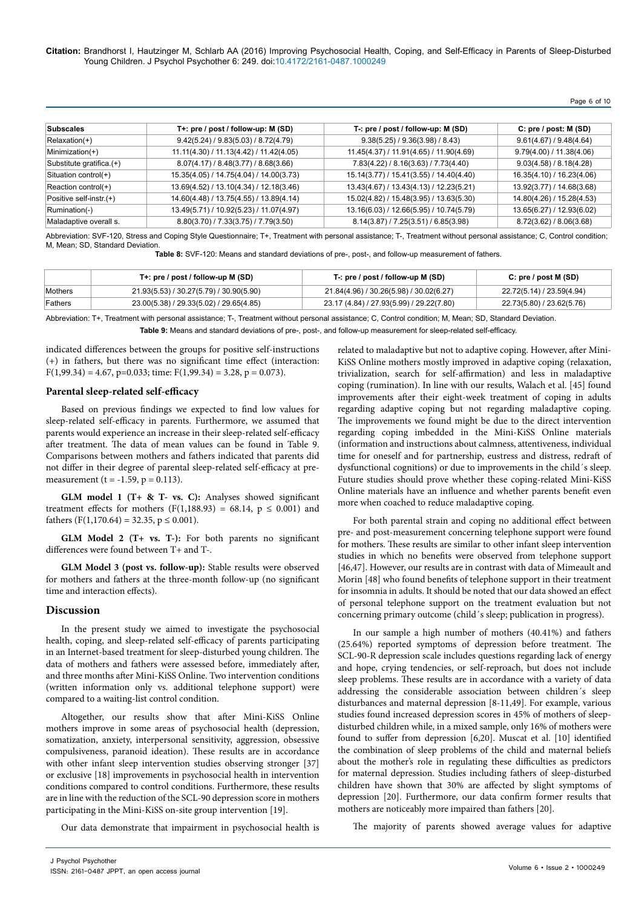**Citation:** Brandhorst I, Hautzinger M, Schlarb AA (2016) Improving Psychosocial Health, Coping, and Self-Efficacy in Parents of Sleep-Disturbed Young Children. J Psychol Psychother 6: 249. doi:10.4172/2161-0487.1000249

Page 6 of 10

| <b>Subscales</b>         | T+: pre / post / follow-up: M (SD)      | T-: pre / post / follow-up: M (SD)      | C: pre / post: M (SD)     |
|--------------------------|-----------------------------------------|-----------------------------------------|---------------------------|
| $Relaxation(+)$          | 9.42(5.24) / 9.83(5.03) / 8.72(4.79)    | 9.38(5.25) / 9.36(3.98) / 8.43          | 9.61(4.67) / 9.48(4.64)   |
| Minimization(+)          | 11.11(4.30) / 11.13(4.42) / 11.42(4.05) | 11.45(4.37) / 11.91(4.65) / 11.90(4.69) | 9.79(4.00) / 11.38(4.06)  |
| Substitute gratifica.(+) | 8.07(4.17) / 8.48(3.77) / 8.68(3.66)    | 7.83(4.22) / 8.16(3.63) / 7.73(4.40)    | 9.03(4.58) / 8.18(4.28)   |
| Situation control(+)     | 15.35(4.05) / 14.75(4.04) / 14.00(3.73) | 15.14(3.77) / 15.41(3.55) / 14.40(4.40) | 16.35(4.10) / 16.23(4.06) |
| Reaction control(+)      | 13.69(4.52) / 13.10(4.34) / 12.18(3.46) | 13.43(4.67) / 13.43(4.13) / 12.23(5.21) | 13.92(3.77) / 14.68(3.68) |
| Positive self-instr.(+)  | 14.60(4.48) / 13.75(4.55) / 13.89(4.14) | 15.02(4.82) / 15.48(3.95) / 13.63(5.30) | 14.80(4.26) / 15.28(4.53) |
| Rumination(-)            | 13.49(5.71) / 10.92(5.23) / 11.07(4.97) | 13.16(6.03) / 12.66(5.95) / 10.74(5.79) | 13.65(6.27) / 12.93(6.02) |
| Maladaptive overall s.   | 8.80(3.70) / 7.33(3.75) / 7.79(3.50)    | 8.14(3.87) / 7.25(3.51) / 6.85(3.98)    | 8.72(3.62) / 8.06(3.68)   |

Abbreviation: SVF-120, Stress and Coping Style Questionnaire; T+, Treatment with personal assistance; T-, Treatment without personal assistance; C, Control condition; M, Mean; SD, Standard Deviation.

**Table 8:** SVF-120: Means and standard deviations of pre-, post-, and follow-up measurement of fathers.

|         | T+: pre / post / follow-up M $(SD)$     | T-: pre / post / follow-up M (SD)        | C: pre / post M (SD)      |
|---------|-----------------------------------------|------------------------------------------|---------------------------|
| Mothers | 21.93(5.53) / 30.27(5.79) / 30.90(5.90) | 21.84(4.96) / 30.26(5.98) / 30.02(6.27)  | 22.72(5.14) / 23.59(4.94) |
| Fathers | 23.00(5.38) / 29.33(5.02) / 29.65(4.85) | 23.17 (4.84) / 27.93(5.99) / 29.22(7.80) | 22.73(5.80) / 23.62(5.76) |

Abbreviation: T+, Treatment with personal assistance; T-, Treatment without personal assistance; C, Control condition; M, Mean; SD, Standard Deviation. **Table 9:** Means and standard deviations of pre-, post-, and follow-up measurement for sleep-related self-efficacy.

indicated differences between the groups for positive self-instructions (+) in fathers, but there was no significant time effect (interaction:  $F(1,99.34) = 4.67$ , p=0.033; time:  $F(1,99.34) = 3.28$ , p = 0.073).

#### **Parental sleep-related self-efficacy**

Based on previous findings we expected to find low values for sleep-related self-efficacy in parents. Furthermore, we assumed that parents would experience an increase in their sleep-related self-efficacy after treatment. The data of mean values can be found in Table 9. Comparisons between mothers and fathers indicated that parents did not differ in their degree of parental sleep-related self-efficacy at premeasurement (t = -1.59,  $p = 0.113$ ).

**GLM model 1 (T+ & T- vs. C):** Analyses showed significant treatment effects for mothers (F(1,188.93) = 68.14,  $p \le 0.001$ ) and fathers  $(F(1,170.64) = 32.35, p \le 0.001)$ .

**GLM Model 2 (T+ vs. T-):** For both parents no significant differences were found between T+ and T-.

**GLM Model 3 (post vs. follow-up):** Stable results were observed for mothers and fathers at the three-month follow-up (no significant time and interaction effects).

#### **Discussion**

In the present study we aimed to investigate the psychosocial health, coping, and sleep-related self-efficacy of parents participating in an Internet-based treatment for sleep-disturbed young children. The data of mothers and fathers were assessed before, immediately after, and three months after Mini-KiSS Online. Two intervention conditions (written information only vs. additional telephone support) were compared to a waiting-list control condition.

Altogether, our results show that after Mini-KiSS Online mothers improve in some areas of psychosocial health (depression, somatization, anxiety, interpersonal sensitivity, aggression, obsessive compulsiveness, paranoid ideation). These results are in accordance with other infant sleep intervention studies observing stronger [37] or exclusive [18] improvements in psychosocial health in intervention conditions compared to control conditions. Furthermore, these results are in line with the reduction of the SCL-90 depression score in mothers participating in the Mini-KiSS on-site group intervention [19].

Our data demonstrate that impairment in psychosocial health is

related to maladaptive but not to adaptive coping. However, after Mini-KiSS Online mothers mostly improved in adaptive coping (relaxation, trivialization, search for self-affirmation) and less in maladaptive coping (rumination). In line with our results, Walach et al. [45] found improvements after their eight-week treatment of coping in adults regarding adaptive coping but not regarding maladaptive coping. The improvements we found might be due to the direct intervention regarding coping imbedded in the Mini-KiSS Online materials (information and instructions about calmness, attentiveness, individual time for oneself and for partnership, eustress and distress, redraft of dysfunctional cognitions) or due to improvements in the child´s sleep. Future studies should prove whether these coping-related Mini-KiSS Online materials have an influence and whether parents benefit even more when coached to reduce maladaptive coping.

For both parental strain and coping no additional effect between pre- and post-measurement concerning telephone support were found for mothers. These results are similar to other infant sleep intervention studies in which no benefits were observed from telephone support [46,47]. However, our results are in contrast with data of Mimeault and Morin [48] who found benefits of telephone support in their treatment for insomnia in adults. It should be noted that our data showed an effect of personal telephone support on the treatment evaluation but not concerning primary outcome (child´s sleep; publication in progress).

In our sample a high number of mothers (40.41%) and fathers (25.64%) reported symptoms of depression before treatment. The SCL-90-R depression scale includes questions regarding lack of energy and hope, crying tendencies, or self-reproach, but does not include sleep problems. These results are in accordance with a variety of data addressing the considerable association between children´s sleep disturbances and maternal depression [8-11,49]. For example, various studies found increased depression scores in 45% of mothers of sleepdisturbed children while, in a mixed sample, only 16% of mothers were found to suffer from depression [6,20]. Muscat et al. [10] identified the combination of sleep problems of the child and maternal beliefs about the mother's role in regulating these difficulties as predictors for maternal depression. Studies including fathers of sleep-disturbed children have shown that 30% are affected by slight symptoms of depression [20]. Furthermore, our data confirm former results that mothers are noticeably more impaired than fathers [20].

The majority of parents showed average values for adaptive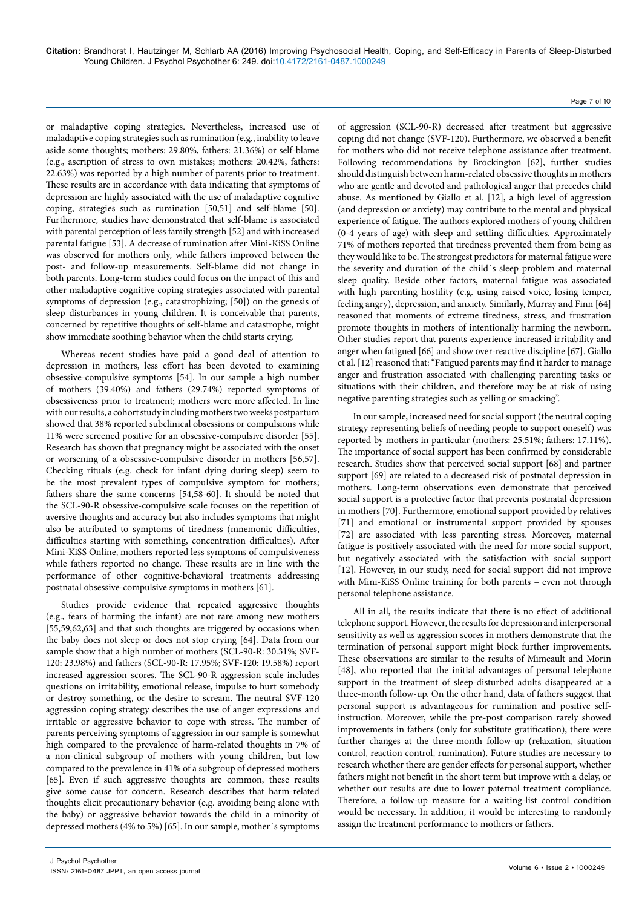or maladaptive coping strategies. Nevertheless, increased use of maladaptive coping strategies such as rumination (e.g., inability to leave aside some thoughts; mothers: 29.80%, fathers: 21.36%) or self-blame (e.g., ascription of stress to own mistakes; mothers: 20.42%, fathers: 22.63%) was reported by a high number of parents prior to treatment. These results are in accordance with data indicating that symptoms of depression are highly associated with the use of maladaptive cognitive coping, strategies such as rumination [50,51] and self-blame [50]. Furthermore, studies have demonstrated that self-blame is associated with parental perception of less family strength [52] and with increased parental fatigue [53]. A decrease of rumination after Mini-KiSS Online was observed for mothers only, while fathers improved between the post- and follow-up measurements. Self-blame did not change in both parents. Long-term studies could focus on the impact of this and other maladaptive cognitive coping strategies associated with parental symptoms of depression (e.g., catastrophizing; [50]) on the genesis of sleep disturbances in young children. It is conceivable that parents, concerned by repetitive thoughts of self-blame and catastrophe, might show immediate soothing behavior when the child starts crying.

Whereas recent studies have paid a good deal of attention to depression in mothers, less effort has been devoted to examining obsessive-compulsive symptoms [54]. In our sample a high number of mothers (39.40%) and fathers (29.74%) reported symptoms of obsessiveness prior to treatment; mothers were more affected. In line with our results, a cohort study including mothers two weeks postpartum showed that 38% reported subclinical obsessions or compulsions while 11% were screened positive for an obsessive-compulsive disorder [55]. Research has shown that pregnancy might be associated with the onset or worsening of a obsessive-compulsive disorder in mothers [56,57]. Checking rituals (e.g. check for infant dying during sleep) seem to be the most prevalent types of compulsive symptom for mothers; fathers share the same concerns [54,58-60]. It should be noted that the SCL-90-R obsessive-compulsive scale focuses on the repetition of aversive thoughts and accuracy but also includes symptoms that might also be attributed to symptoms of tiredness (mnemonic difficulties, difficulties starting with something, concentration difficulties). After Mini-KiSS Online, mothers reported less symptoms of compulsiveness while fathers reported no change. These results are in line with the performance of other cognitive-behavioral treatments addressing postnatal obsessive-compulsive symptoms in mothers [61].

Studies provide evidence that repeated aggressive thoughts (e.g., fears of harming the infant) are not rare among new mothers [55,59,62,63] and that such thoughts are triggered by occasions when the baby does not sleep or does not stop crying [64]. Data from our sample show that a high number of mothers (SCL-90-R: 30.31%; SVF-120: 23.98%) and fathers (SCL-90-R: 17.95%; SVF-120: 19.58%) report increased aggression scores. The SCL-90-R aggression scale includes questions on irritability, emotional release, impulse to hurt somebody or destroy something, or the desire to scream. The neutral SVF-120 aggression coping strategy describes the use of anger expressions and irritable or aggressive behavior to cope with stress. The number of parents perceiving symptoms of aggression in our sample is somewhat high compared to the prevalence of harm-related thoughts in 7% of a non-clinical subgroup of mothers with young children, but low compared to the prevalence in 41% of a subgroup of depressed mothers [65]. Even if such aggressive thoughts are common, these results give some cause for concern. Research describes that harm-related thoughts elicit precautionary behavior (e.g. avoiding being alone with the baby) or aggressive behavior towards the child in a minority of depressed mothers (4% to 5%) [65]. In our sample, mother´s symptoms

of aggression (SCL-90-R) decreased after treatment but aggressive coping did not change (SVF-120). Furthermore, we observed a benefit for mothers who did not receive telephone assistance after treatment. Following recommendations by Brockington [62], further studies should distinguish between harm-related obsessive thoughts in mothers who are gentle and devoted and pathological anger that precedes child abuse. As mentioned by Giallo et al. [12], a high level of aggression (and depression or anxiety) may contribute to the mental and physical experience of fatigue. The authors explored mothers of young children (0-4 years of age) with sleep and settling difficulties. Approximately 71% of mothers reported that tiredness prevented them from being as they would like to be. The strongest predictors for maternal fatigue were the severity and duration of the child´s sleep problem and maternal sleep quality. Beside other factors, maternal fatigue was associated with high parenting hostility (e.g. using raised voice, losing temper, feeling angry), depression, and anxiety. Similarly, Murray and Finn [64] reasoned that moments of extreme tiredness, stress, and frustration promote thoughts in mothers of intentionally harming the newborn. Other studies report that parents experience increased irritability and anger when fatigued [66] and show over-reactive discipline [67]. Giallo et al. [12] reasoned that: "Fatigued parents may find it harder to manage anger and frustration associated with challenging parenting tasks or situations with their children, and therefore may be at risk of using negative parenting strategies such as yelling or smacking".

Page 7 of 10

In our sample, increased need for social support (the neutral coping strategy representing beliefs of needing people to support oneself) was reported by mothers in particular (mothers: 25.51%; fathers: 17.11%). The importance of social support has been confirmed by considerable research. Studies show that perceived social support [68] and partner support [69] are related to a decreased risk of postnatal depression in mothers. Long-term observations even demonstrate that perceived social support is a protective factor that prevents postnatal depression in mothers [70]. Furthermore, emotional support provided by relatives [71] and emotional or instrumental support provided by spouses [72] are associated with less parenting stress. Moreover, maternal fatigue is positively associated with the need for more social support, but negatively associated with the satisfaction with social support [12]. However, in our study, need for social support did not improve with Mini-KiSS Online training for both parents – even not through personal telephone assistance.

All in all, the results indicate that there is no effect of additional telephone support. However, the results for depression and interpersonal sensitivity as well as aggression scores in mothers demonstrate that the termination of personal support might block further improvements. These observations are similar to the results of Mimeault and Morin [48], who reported that the initial advantages of personal telephone support in the treatment of sleep-disturbed adults disappeared at a three-month follow-up. On the other hand, data of fathers suggest that personal support is advantageous for rumination and positive selfinstruction. Moreover, while the pre-post comparison rarely showed improvements in fathers (only for substitute gratification), there were further changes at the three-month follow-up (relaxation, situation control, reaction control, rumination). Future studies are necessary to research whether there are gender effects for personal support, whether fathers might not benefit in the short term but improve with a delay, or whether our results are due to lower paternal treatment compliance. Therefore, a follow-up measure for a waiting-list control condition would be necessary. In addition, it would be interesting to randomly assign the treatment performance to mothers or fathers.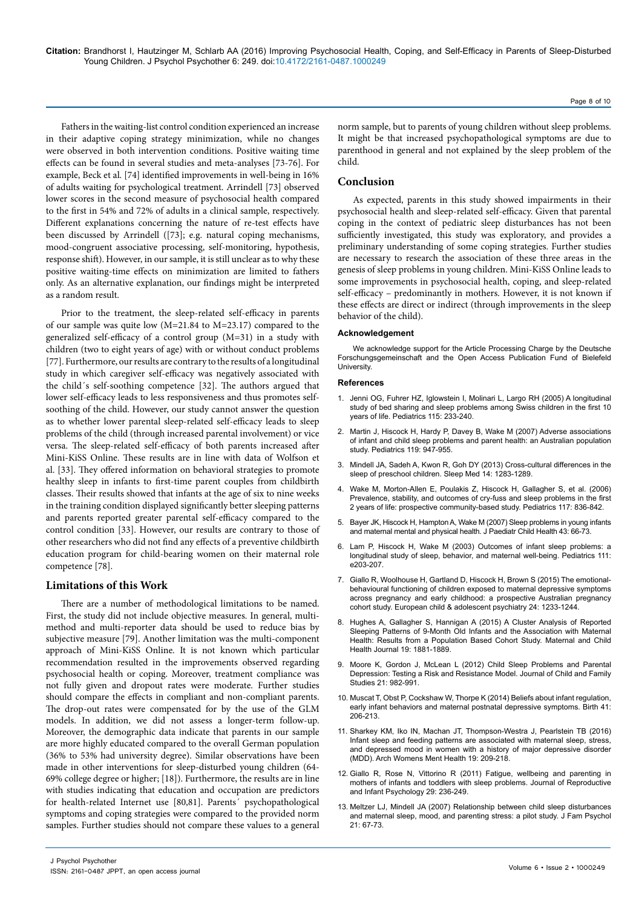**Citation:** Brandhorst I, Hautzinger M, Schlarb AA (2016) Improving Psychosocial Health, Coping, and Self-Efficacy in Parents of Sleep-Disturbed Young Children. J Psychol Psychother 6: 249. doi:10.4172/2161-0487.1000249

Fathers in the waiting-list control condition experienced an increase in their adaptive coping strategy minimization, while no changes were observed in both intervention conditions. Positive waiting time effects can be found in several studies and meta-analyses [73-76]. For example, Beck et al. [74] identified improvements in well-being in 16% of adults waiting for psychological treatment. Arrindell [73] observed lower scores in the second measure of psychosocial health compared to the first in 54% and 72% of adults in a clinical sample, respectively. Different explanations concerning the nature of re-test effects have been discussed by Arrindell ([73]; e.g. natural coping mechanisms, mood-congruent associative processing, self-monitoring, hypothesis, response shift). However, in our sample, it is still unclear as to why these positive waiting-time effects on minimization are limited to fathers only. As an alternative explanation, our findings might be interpreted as a random result.

Prior to the treatment, the sleep-related self-efficacy in parents of our sample was quite low (M=21.84 to M=23.17) compared to the generalized self-efficacy of a control group (M=31) in a study with children (two to eight years of age) with or without conduct problems [77]. Furthermore, our results are contrary to the results of a longitudinal study in which caregiver self-efficacy was negatively associated with the child´s self-soothing competence [32]. The authors argued that lower self-efficacy leads to less responsiveness and thus promotes selfsoothing of the child. However, our study cannot answer the question as to whether lower parental sleep-related self-efficacy leads to sleep problems of the child (through increased parental involvement) or vice versa. The sleep-related self-efficacy of both parents increased after Mini-KiSS Online. These results are in line with data of Wolfson et al. [33]. They offered information on behavioral strategies to promote healthy sleep in infants to first-time parent couples from childbirth classes. Their results showed that infants at the age of six to nine weeks in the training condition displayed significantly better sleeping patterns and parents reported greater parental self-efficacy compared to the control condition [33]. However, our results are contrary to those of other researchers who did not find any effects of a preventive childbirth education program for child-bearing women on their maternal role competence [78].

# **Limitations of this Work**

There are a number of methodological limitations to be named. First, the study did not include objective measures. In general, multimethod and multi-reporter data should be used to reduce bias by subjective measure [79]. Another limitation was the multi-component approach of Mini-KiSS Online. It is not known which particular recommendation resulted in the improvements observed regarding psychosocial health or coping. Moreover, treatment compliance was not fully given and dropout rates were moderate. Further studies should compare the effects in compliant and non-compliant parents. The drop-out rates were compensated for by the use of the GLM models. In addition, we did not assess a longer-term follow-up. Moreover, the demographic data indicate that parents in our sample are more highly educated compared to the overall German population (36% to 53% had university degree). Similar observations have been made in other interventions for sleep-disturbed young children (64- 69% college degree or higher; [18]). Furthermore, the results are in line with studies indicating that education and occupation are predictors for health-related Internet use [80,81]. Parents´ psychopathological symptoms and coping strategies were compared to the provided norm samples. Further studies should not compare these values to a general

norm sample, but to parents of young children without sleep problems. It might be that increased psychopathological symptoms are due to parenthood in general and not explained by the sleep problem of the child.

# **Conclusion**

As expected, parents in this study showed impairments in their psychosocial health and sleep-related self-efficacy. Given that parental coping in the context of pediatric sleep disturbances has not been sufficiently investigated, this study was exploratory, and provides a preliminary understanding of some coping strategies. Further studies are necessary to research the association of these three areas in the genesis of sleep problems in young children. Mini-KiSS Online leads to some improvements in psychosocial health, coping, and sleep-related self-efficacy – predominantly in mothers. However, it is not known if these effects are direct or indirect (through improvements in the sleep behavior of the child).

#### **Acknowledgement**

We acknowledge support for the Article Processing Charge by the Deutsche Forschungsgemeinschaft and the Open Access Publication Fund of Bielefeld University.

#### **References**

- 1. [Jenni OG, Fuhrer HZ, Iglowstein I, Molinari L, Largo RH \(2005\) A longitudinal](http://www.ncbi.nlm.nih.gov/pubmed/15866857)  [study of bed sharing and sleep problems among Swiss children in the first 10](http://www.ncbi.nlm.nih.gov/pubmed/15866857)  [years of life. Pediatrics 115: 233-240.](http://www.ncbi.nlm.nih.gov/pubmed/15866857)
- 2. [Martin J, Hiscock H, Hardy P, Davey B, Wake M \(2007\) Adverse associations](http://www.ncbi.nlm.nih.gov/pubmed/17473096)  [of infant and child sleep problems and parent health: an Australian population](http://www.ncbi.nlm.nih.gov/pubmed/17473096)  [study. Pediatrics 119: 947-955.](http://www.ncbi.nlm.nih.gov/pubmed/17473096)
- 3. [Mindell JA, Sadeh A, Kwon R, Goh DY \(2013\) Cross-cultural differences in the](http://www.ncbi.nlm.nih.gov/pubmed/24269649)  [sleep of preschool children. Sleep Med 14: 1283-1289.](http://www.ncbi.nlm.nih.gov/pubmed/24269649)
- 4. [Wake M, Morton-Allen E, Poulakis Z, Hiscock H, Gallagher S, et al. \(2006\)](http://www.ncbi.nlm.nih.gov/pubmed/16510665)  [Prevalence, stability, and outcomes of cry-fuss and sleep problems in the first](http://www.ncbi.nlm.nih.gov/pubmed/16510665)  [2 years of life: prospective community-based study. Pediatrics 117: 836-842.](http://www.ncbi.nlm.nih.gov/pubmed/16510665)
- 5. [Bayer JK, Hiscock H, Hampton A, Wake M \(2007\) Sleep problems in young infants](http://www.ncbi.nlm.nih.gov/pubmed/17207059)  [and maternal mental and physical health. J Paediatr Child Health 43: 66-73.](http://www.ncbi.nlm.nih.gov/pubmed/17207059)
- 6. [Lam P, Hiscock H, Wake M \(2003\) Outcomes of infant sleep problems: a](http://www.ncbi.nlm.nih.gov/pubmed/12612272)  [longitudinal study of sleep, behavior, and maternal well-being. Pediatrics 111:](http://www.ncbi.nlm.nih.gov/pubmed/12612272)  [e203-207.](http://www.ncbi.nlm.nih.gov/pubmed/12612272)
- 7. [Giallo R, Woolhouse H, Gartland D, Hiscock H, Brown S \(2015\) The emotional](http://www.ncbi.nlm.nih.gov/pubmed/25572869)[behavioural functioning of children exposed to maternal depressive symptoms](http://www.ncbi.nlm.nih.gov/pubmed/25572869)  [across pregnancy and early childhood: a prospective Australian pregnancy](http://www.ncbi.nlm.nih.gov/pubmed/25572869)  [cohort study. European child & adolescent psychiatry 24: 1233-1244.](http://www.ncbi.nlm.nih.gov/pubmed/25572869)
- 8. [Hughes A, Gallagher S, Hannigan A \(2015\) A Cluster Analysis of Reported](http://www.ncbi.nlm.nih.gov/pubmed/25656722)  [Sleeping Patterns of 9-Month Old Infants and the Association with Maternal](http://www.ncbi.nlm.nih.gov/pubmed/25656722)  [Health: Results from a Population Based Cohort Study. Maternal and Child](http://www.ncbi.nlm.nih.gov/pubmed/25656722)  [Health Journal 19: 1881-1889.](http://www.ncbi.nlm.nih.gov/pubmed/25656722)
- 9. [Moore K, Gordon J, McLean L \(2012\) Child Sleep Problems and Parental](http://link.springer.com/article/10.1007%2Fs10826-011-9558-9)  [Depression: Testing a Risk and Resistance Model. Journal of Child and Family](http://link.springer.com/article/10.1007%2Fs10826-011-9558-9)  [Studies 21: 982-991.](http://link.springer.com/article/10.1007%2Fs10826-011-9558-9)
- 10. [Muscat T, Obst P, Cockshaw W, Thorpe K \(2014\) Beliefs about infant regulation,](http://www.ncbi.nlm.nih.gov/pubmed/24684274)  [early infant behaviors and maternal postnatal depressive symptoms. Birth 41:](http://www.ncbi.nlm.nih.gov/pubmed/24684274)  [206-213.](http://www.ncbi.nlm.nih.gov/pubmed/24684274)
- 11. [Sharkey KM, Iko IN, Machan JT, Thompson-Westra J, Pearlstein TB \(2016\)](http://www.ncbi.nlm.nih.gov/pubmed/26228760)  [Infant sleep and feeding patterns are associated with maternal sleep, stress,](http://www.ncbi.nlm.nih.gov/pubmed/26228760)  [and depressed mood in women with a history of major depressive disorder](http://www.ncbi.nlm.nih.gov/pubmed/26228760)  [\(MDD\). Arch Womens Ment Health 19: 209-218.](http://www.ncbi.nlm.nih.gov/pubmed/26228760)
- 12. [Giallo R, Rose N, Vittorino R \(2011\) Fatigue, wellbeing and parenting in](http://www.tandfonline.com/doi/abs/10.1080/02646838.2011.593030)  [mothers of infants and toddlers with sleep problems. Journal of Reproductive](http://www.tandfonline.com/doi/abs/10.1080/02646838.2011.593030)  [and Infant Psychology 29: 236-249.](http://www.tandfonline.com/doi/abs/10.1080/02646838.2011.593030)
- 13. [Meltzer LJ, Mindell JA \(2007\) Relationship between child sleep disturbances](http://www.ncbi.nlm.nih.gov/pubmed/17371111)  [and maternal sleep, mood, and parenting stress: a pilot study. J Fam Psychol](http://www.ncbi.nlm.nih.gov/pubmed/17371111)  [21: 67-73.](http://www.ncbi.nlm.nih.gov/pubmed/17371111)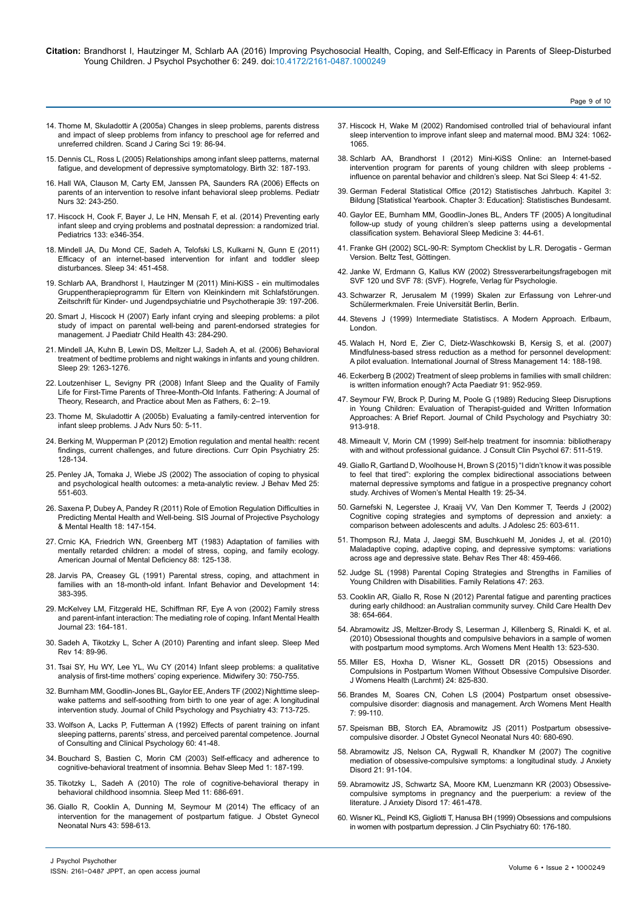**Citation:** Brandhorst I, Hautzinger M, Schlarb AA (2016) Improving Psychosocial Health, Coping, and Self-Efficacy in Parents of Sleep-Disturbed Young Children. J Psychol Psychother 6: 249. doi:10.4172/2161-0487.1000249

Page 9 of 10

- 14. [Thome M, Skuladottir A \(2005a\) Changes in sleep problems, parents distress](http://www.ncbi.nlm.nih.gov/pubmed/15877633) [and impact of sleep problems from infancy to preschool age for referred and](http://www.ncbi.nlm.nih.gov/pubmed/15877633) [unreferred children. Scand J Caring Sci 19: 86-94.](http://www.ncbi.nlm.nih.gov/pubmed/15877633)
- 15. [Dennis CL, Ross L \(2005\) Relationships among infant sleep patterns, maternal](http://www.ncbi.nlm.nih.gov/pubmed/16128972) [fatigue, and development of depressive symptomatology. Birth 32: 187-193.](http://www.ncbi.nlm.nih.gov/pubmed/16128972)
- 16. [Hall WA, Clauson M, Carty EM, Janssen PA, Saunders RA \(2006\) Effects on](http://www.ncbi.nlm.nih.gov/pubmed/16802683) [parents of an intervention to resolve infant behavioral sleep problems. Pediatr](http://www.ncbi.nlm.nih.gov/pubmed/16802683) [Nurs 32: 243-250.](http://www.ncbi.nlm.nih.gov/pubmed/16802683)
- 17. [Hiscock H, Cook F, Bayer J, Le HN, Mensah F, et al. \(2014\) Preventing early](http://www.ncbi.nlm.nih.gov/pubmed/24394682) [infant sleep and crying problems and postnatal depression: a randomized trial.](http://www.ncbi.nlm.nih.gov/pubmed/24394682) [Pediatrics 133: e346-354.](http://www.ncbi.nlm.nih.gov/pubmed/24394682)
- 18. [Mindell JA, Du Mond CE, Sadeh A, Telofski LS, Kulkarni N, Gunn E \(2011\)](http://www.ncbi.nlm.nih.gov/pmc/articles/PMC3065255/) [Efficacy of an internet-based intervention for infant and toddler sleep](http://www.ncbi.nlm.nih.gov/pmc/articles/PMC3065255/) [disturbances. Sleep 34: 451-458.](http://www.ncbi.nlm.nih.gov/pmc/articles/PMC3065255/)
- 19. [Schlarb AA, Brandhorst I, Hautzinger M \(2011\) Mini-KiSS ein multimodales](http://econtent.hogrefe.com/doi/abs/10.1024/1422-4917/a000106?journalCode=kij) [Gruppentherapieprogramm für Eltern von Kleinkindern mit Schlafstörungen.](http://econtent.hogrefe.com/doi/abs/10.1024/1422-4917/a000106?journalCode=kij) [Zeitschrift für Kinder- und Jugendpsychiatrie und Psychotherapie 39: 197-206.](http://econtent.hogrefe.com/doi/abs/10.1024/1422-4917/a000106?journalCode=kij)
- 20. [Smart J, Hiscock H \(2007\) Early infant crying and sleeping problems: a pilot](http://www.ncbi.nlm.nih.gov/pubmed/17444831) [study of impact on parental well-being and parent-endorsed strategies for](http://www.ncbi.nlm.nih.gov/pubmed/17444831) [management. J Paediatr Child Health 43: 284-290.](http://www.ncbi.nlm.nih.gov/pubmed/17444831)
- 21. [Mindell JA, Kuhn B, Lewin DS, Meltzer LJ, Sadeh A, et al. \(2006\) Behavioral](http://www.ncbi.nlm.nih.gov/pubmed/17068979) [treatment of bedtime problems and night wakings in infants and young children.](http://www.ncbi.nlm.nih.gov/pubmed/17068979) [Sleep 29: 1263-1276.](http://www.ncbi.nlm.nih.gov/pubmed/17068979)
- 22. [Loutzenhiser L, Sevigny PR \(2008\) Infant Sleep and the Quality of Family](http://www.mensstudies.info/OJS/index.php/FATHERING/article/view/273) [Life for First-Time Parents of Three-Month-Old Infants. Fathering: A Journal of](http://www.mensstudies.info/OJS/index.php/FATHERING/article/view/273) [Theory, Research, and Practice about Men as Fathers, 6: 2–19.](http://www.mensstudies.info/OJS/index.php/FATHERING/article/view/273)
- 23. [Thome M, Skuladottir A \(2005b\) Evaluating a family-centred intervention for](http://www.ncbi.nlm.nih.gov/pubmed/15788060) [infant sleep problems. J Adv Nurs 50: 5-11.](http://www.ncbi.nlm.nih.gov/pubmed/15788060)
- 24. [Berking M, Wupperman P \(2012\) Emotion regulation and mental health: recent](http://www.ncbi.nlm.nih.gov/pubmed/22262030) [findings, current challenges, and future directions. Curr Opin Psychiatry 25:](http://www.ncbi.nlm.nih.gov/pubmed/22262030) [128-134.](http://www.ncbi.nlm.nih.gov/pubmed/22262030)
- 25. [Penley JA, Tomaka J, Wiebe JS \(2002\) The association of coping to physical](http://www.ncbi.nlm.nih.gov/pubmed/12462958) [and psychological health outcomes: a meta-analytic review. J Behav Med 25:](http://www.ncbi.nlm.nih.gov/pubmed/12462958) [551-603.](http://www.ncbi.nlm.nih.gov/pubmed/12462958)
- 26. [Saxena P, Dubey A, Pandey R \(2011\) Role of Emotion Regulation Difficulties in](https://www.researchgate.net/publication/229169635_Role_of_Emotion_Regulation_Difficulties_in_Predicting_Mental_Health_and_Well-being) [Predicting Mental Health and Well-being. SIS Journal of Projective Psychology](https://www.researchgate.net/publication/229169635_Role_of_Emotion_Regulation_Difficulties_in_Predicting_Mental_Health_and_Well-being) [& Mental Health 18: 147-154.](https://www.researchgate.net/publication/229169635_Role_of_Emotion_Regulation_Difficulties_in_Predicting_Mental_Health_and_Well-being)
- 27. [Crnic KA, Friedrich WN, Greenberg MT \(1983\) Adaptation of families with](http://www.ncbi.nlm.nih.gov/pubmed/6638076) [mentally retarded children: a model of stress, coping, and family ecology.](http://www.ncbi.nlm.nih.gov/pubmed/6638076) [American Journal of Mental Deficiency 88: 125-138.](http://www.ncbi.nlm.nih.gov/pubmed/6638076)
- 28. [Jarvis PA, Creasey GL \(1991\) Parental stress, coping, and attachment in](http://www.sciencedirect.com/science/article/pii/016363839190029R) [families with an 18-month-old infant. Infant Behavior and Development 14:](http://www.sciencedirect.com/science/article/pii/016363839190029R) [383-395.](http://www.sciencedirect.com/science/article/pii/016363839190029R)
- 29. [McKelvey LM, Fitzgerald HE, Schiffman RF, Eye A von \(2002\) Family stress](http://onlinelibrary.wiley.com/doi/10.1002/imhj.10010/abstract?systemMessage=Wiley+Online+Library+will+be+disrupted+3+Mar+from+10-13+GMT+for+monthly+maintenance) [and parent-infant interaction: The mediating role of coping. Infant Mental Health](http://onlinelibrary.wiley.com/doi/10.1002/imhj.10010/abstract?systemMessage=Wiley+Online+Library+will+be+disrupted+3+Mar+from+10-13+GMT+for+monthly+maintenance) [Journal 23: 164-181.](http://onlinelibrary.wiley.com/doi/10.1002/imhj.10010/abstract?systemMessage=Wiley+Online+Library+will+be+disrupted+3+Mar+from+10-13+GMT+for+monthly+maintenance)
- 30. [Sadeh A, Tikotzky L, Scher A \(2010\) Parenting and infant sleep. Sleep Med](http://www.ncbi.nlm.nih.gov/pubmed/19631566) [Rev 14: 89-96.](http://www.ncbi.nlm.nih.gov/pubmed/19631566)
- 31. [Tsai SY, Hu WY, Lee YL, Wu CY \(2014\) Infant sleep problems: a qualitative](http://www.ncbi.nlm.nih.gov/pubmed/24035401) [analysis of first-time mothers' coping experience. Midwifery 30: 750-755.](http://www.ncbi.nlm.nih.gov/pubmed/24035401)
- 32. [Burnham MM, Goodlin-Jones BL, Gaylor EE, Anders TF \(2002\) Nighttime sleep](http://www.ncbi.nlm.nih.gov/pubmed/12236607)[wake patterns and self-soothing from birth to one year of age: A longitudinal](http://www.ncbi.nlm.nih.gov/pubmed/12236607) [intervention study. Journal of Child Psychology and Psychiatry 43: 713-725.](http://www.ncbi.nlm.nih.gov/pubmed/12236607)
- 33. [Wolfson A, Lacks P, Futterman A \(1992\) Effects of parent training on infant](http://www.ncbi.nlm.nih.gov/pubmed/1556284) [sleeping patterns, parents' stress, and perceived parental competence. Journal](http://www.ncbi.nlm.nih.gov/pubmed/1556284) [of Consulting and Clinical Psychology 60: 41-48.](http://www.ncbi.nlm.nih.gov/pubmed/1556284)
- 34. [Bouchard S, Bastien C, Morin CM \(2003\) Self-efficacy and adherence to](http://www.ncbi.nlm.nih.gov/pubmed/15600214) [cognitive-behavioral treatment of insomnia. Behav Sleep Med 1: 187-199.](http://www.ncbi.nlm.nih.gov/pubmed/15600214)
- 35. [Tikotzky L, Sadeh A \(2010\) The role of cognitive-behavioral therapy in](http://www.ncbi.nlm.nih.gov/pubmed/20620108) [behavioral childhood insomnia. Sleep Med 11: 686-691.](http://www.ncbi.nlm.nih.gov/pubmed/20620108)
- 36. [Giallo R, Cooklin A, Dunning M, Seymour M \(2014\) The efficacy of an](http://www.ncbi.nlm.nih.gov/pubmed/25139257) [intervention for the management of postpartum fatigue. J Obstet Gynecol](http://www.ncbi.nlm.nih.gov/pubmed/25139257) [Neonatal Nurs 43: 598-613.](http://www.ncbi.nlm.nih.gov/pubmed/25139257)
- 37. [Hiscock H, Wake M \(2002\) Randomised controlled trial of behavioural infant](http://www.ncbi.nlm.nih.gov/pubmed/11991909)  [sleep intervention to improve infant sleep and maternal mood. BMJ 324: 1062-](http://www.ncbi.nlm.nih.gov/pubmed/11991909) [1065.](http://www.ncbi.nlm.nih.gov/pubmed/11991909)
- 38. [Schlarb AA, Brandhorst I \(2012\) Mini-KiSS Online: an Internet-based](http://www.ncbi.nlm.nih.gov/pubmed/23620677)  intervention program for parents of young children with sleep problems [influence on parental behavior and children's sleep. Nat Sci Sleep 4: 41-52.](http://www.ncbi.nlm.nih.gov/pubmed/23620677)
- 39. German Federal Statistical Office (2012) Statistisches Jahrbuch. Kapitel 3: Bildung [Statistical Yearbook. Chapter 3: Education]: Statistisches Bundesamt.
- 40. [Gaylor EE, Burnham MM, Goodlin-Jones BL, Anders TF \(2005\) A longitudinal](http://www.ncbi.nlm.nih.gov/pmc/articles/PMC1201412/)  [follow-up study of young children's sleep patterns using a developmental](http://www.ncbi.nlm.nih.gov/pmc/articles/PMC1201412/)  [classification system. Behavioral Sleep Medicine 3: 44-61.](http://www.ncbi.nlm.nih.gov/pmc/articles/PMC1201412/)
- 41. [Franke GH \(2002\) SCL-90-R: Symptom Checklist by L.R. Derogatis German](https://www.researchgate.net/publication/247397305_SCL-90-R_Symptom-Checkliste_von_L_R_Derogatis-_Deutsche_Version)  [Version. Beltz Test, Göttingen.](https://www.researchgate.net/publication/247397305_SCL-90-R_Symptom-Checkliste_von_L_R_Derogatis-_Deutsche_Version)
- 42. [Janke W, Erdmann G, Kallus KW \(2002\) Stressverarbeitungsfragebogen mit](https://books.google.co.in/books?id=rCfqngEACAAJ&dq=Stressverarbeitungsfragebogen+mit+SVF+120+und+SVF+78&hl=en&sa=X&redir_esc=y)  [SVF 120 und SVF 78: \(SVF\). Hogrefe, Verlag für Psychologie.](https://books.google.co.in/books?id=rCfqngEACAAJ&dq=Stressverarbeitungsfragebogen+mit+SVF+120+und+SVF+78&hl=en&sa=X&redir_esc=y)
- 43. [Schwarzer R, Jerusalem M \(1999\) Skalen zur Erfassung von Lehrer-und](http://www.psyc.de/skalendoku.pdf)  [Schülermerkmalen. Freie Universität Berlin, Berlin.](http://www.psyc.de/skalendoku.pdf)
- 44. [Stevens J \(1999\) Intermediate Statistiscs. A Modern Approach. Erlbaum,](https://books.google.co.in/books?id=pc0CSLP4CGAC&dq=editions:pUZN9emZrqkC&hl=en&sa=X&redir_esc=y)  [London.](https://books.google.co.in/books?id=pc0CSLP4CGAC&dq=editions:pUZN9emZrqkC&hl=en&sa=X&redir_esc=y)
- 45. [Walach H, Nord E, Zier C, Dietz-Waschkowski B, Kersig S, et al. \(2007\)](http://psycnet.apa.org/index.cfm?fa=buy.optionToBuy&id=2007-07240-005)  [Mindfulness-based stress reduction as a method for personnel development:](http://psycnet.apa.org/index.cfm?fa=buy.optionToBuy&id=2007-07240-005)  [A pilot evaluation. International Journal of Stress Management 14: 188-198.](http://psycnet.apa.org/index.cfm?fa=buy.optionToBuy&id=2007-07240-005)
- 46. [Eckerberg B \(2002\) Treatment of sleep problems in families with small children:](http://www.ncbi.nlm.nih.gov/pubmed/12222721)  [is written information enough? Acta Paediatr 91: 952-959.](http://www.ncbi.nlm.nih.gov/pubmed/12222721)
- 47. [Seymour FW, Brock P, During M, Poole G \(1989\) Reducing Sleep Disruptions](http://www.ncbi.nlm.nih.gov/pubmed/2687306)  [in Young Children: Evaluation of Therapist-guided and Written Information](http://www.ncbi.nlm.nih.gov/pubmed/2687306)  Approaches: A Brief Report. Journal of Child Psychology and Psychiatry 30: [913-918.](http://www.ncbi.nlm.nih.gov/pubmed/2687306)
- 48. [Mimeault V, Morin CM \(1999\) Self-help treatment for insomnia: bibliotherapy](http://www.ncbi.nlm.nih.gov/pubmed/10450621)  [with and without professional guidance. J Consult Clin Psychol 67: 511-519.](http://www.ncbi.nlm.nih.gov/pubmed/10450621)
- 49. [Giallo R, Gartland D, Woolhouse H, Brown S \(2015\) "I didn't know it was possible](http://www.ncbi.nlm.nih.gov/pubmed/25577337)  [to feel that tired": exploring the complex bidirectional associations between](http://www.ncbi.nlm.nih.gov/pubmed/25577337)  [maternal depressive symptoms and fatigue in a prospective pregnancy cohort](http://www.ncbi.nlm.nih.gov/pubmed/25577337)  [study. Archives of Women's Mental Health 19: 25-34.](http://www.ncbi.nlm.nih.gov/pubmed/25577337)
- 50. [Garnefski N, Legerstee J, Kraaij VV, Van Den Kommer T, Teerds J \(2002\)](http://www.ncbi.nlm.nih.gov/pubmed/12490178)  [Cognitive coping strategies and symptoms of depression and anxiety: a](http://www.ncbi.nlm.nih.gov/pubmed/12490178)  [comparison between adolescents and adults. J Adolesc 25: 603-611.](http://www.ncbi.nlm.nih.gov/pubmed/12490178)
- 51. [Thompson RJ, Mata J, Jaeggi SM, Buschkuehl M, Jonides J, et al. \(2010\)](http://www.ncbi.nlm.nih.gov/pubmed/20211463)  [Maladaptive coping, adaptive coping, and depressive symptoms: variations](http://www.ncbi.nlm.nih.gov/pubmed/20211463)  [across age and depressive state. Behav Res Ther 48: 459-466.](http://www.ncbi.nlm.nih.gov/pubmed/20211463)
- 52. [Judge SL \(1998\) Parental Coping Strategies and Strengths in Families of](https://www.jstor.org/stable/584976?seq=1#page_scan_tab_contents)  [Young Children with Disabilities. Family Relations 47: 263.](https://www.jstor.org/stable/584976?seq=1#page_scan_tab_contents)
- 53. [Cooklin AR, Giallo R, Rose N \(2012\) Parental fatigue and parenting practices](http://www.ncbi.nlm.nih.gov/pubmed/22017576)  [during early childhood: an Australian community survey. Child Care Health Dev](http://www.ncbi.nlm.nih.gov/pubmed/22017576)  [38: 654-664.](http://www.ncbi.nlm.nih.gov/pubmed/22017576)
- 54. [Abramowitz JS, Meltzer-Brody S, Leserman J, Killenberg S, Rinaldi K, et al.](http://www.ncbi.nlm.nih.gov/pubmed/20607572)  [\(2010\) Obsessional thoughts and compulsive behaviors in a sample of women](http://www.ncbi.nlm.nih.gov/pubmed/20607572)  [with postpartum mood symptoms. Arch Womens Ment Health 13: 523-530.](http://www.ncbi.nlm.nih.gov/pubmed/20607572)
- 55. [Miller ES, Hoxha D, Wisner KL, Gossett DR \(2015\) Obsessions and](http://www.ncbi.nlm.nih.gov/pubmed/26121364)  [Compulsions in Postpartum Women Without Obsessive Compulsive Disorder.](http://www.ncbi.nlm.nih.gov/pubmed/26121364)  [J Womens Health \(Larchmt\) 24: 825-830.](http://www.ncbi.nlm.nih.gov/pubmed/26121364)
- 56. [Brandes M, Soares CN, Cohen LS \(2004\) Postpartum onset obsessive](http://www.ncbi.nlm.nih.gov/pubmed/15083345)[compulsive disorder: diagnosis and management. Arch Womens Ment Health](http://www.ncbi.nlm.nih.gov/pubmed/15083345)  [7: 99-110.](http://www.ncbi.nlm.nih.gov/pubmed/15083345)
- 57. [Speisman BB, Storch EA, Abramowitz JS \(2011\) Postpartum obsessive](http://www.ncbi.nlm.nih.gov/pubmed/22092284)[compulsive disorder. J Obstet Gynecol Neonatal Nurs 40: 680-690.](http://www.ncbi.nlm.nih.gov/pubmed/22092284)
- 58. [Abramowitz JS, Nelson CA, Rygwall R, Khandker M \(2007\) The cognitive](http://www.ncbi.nlm.nih.gov/pubmed/16806800)  [mediation of obsessive-compulsive symptoms: a longitudinal study. J Anxiety](http://www.ncbi.nlm.nih.gov/pubmed/16806800)  [Disord 21: 91-104.](http://www.ncbi.nlm.nih.gov/pubmed/16806800)
- 59. [Abramowitz JS, Schwartz SA, Moore KM, Luenzmann KR \(2003\) Obsessive](http://www.ncbi.nlm.nih.gov/pubmed/12826092)[compulsive symptoms in pregnancy and the puerperium: a review of the](http://www.ncbi.nlm.nih.gov/pubmed/12826092)  [literature. J Anxiety Disord 17: 461-478.](http://www.ncbi.nlm.nih.gov/pubmed/12826092)
- 60. [Wisner KL, Peindl KS, Gigliotti T, Hanusa BH \(1999\) Obsessions and compulsions](http://www.ncbi.nlm.nih.gov/pubmed/10192593)  [in women with postpartum depression. J Clin Psychiatry 60: 176-180.](http://www.ncbi.nlm.nih.gov/pubmed/10192593)